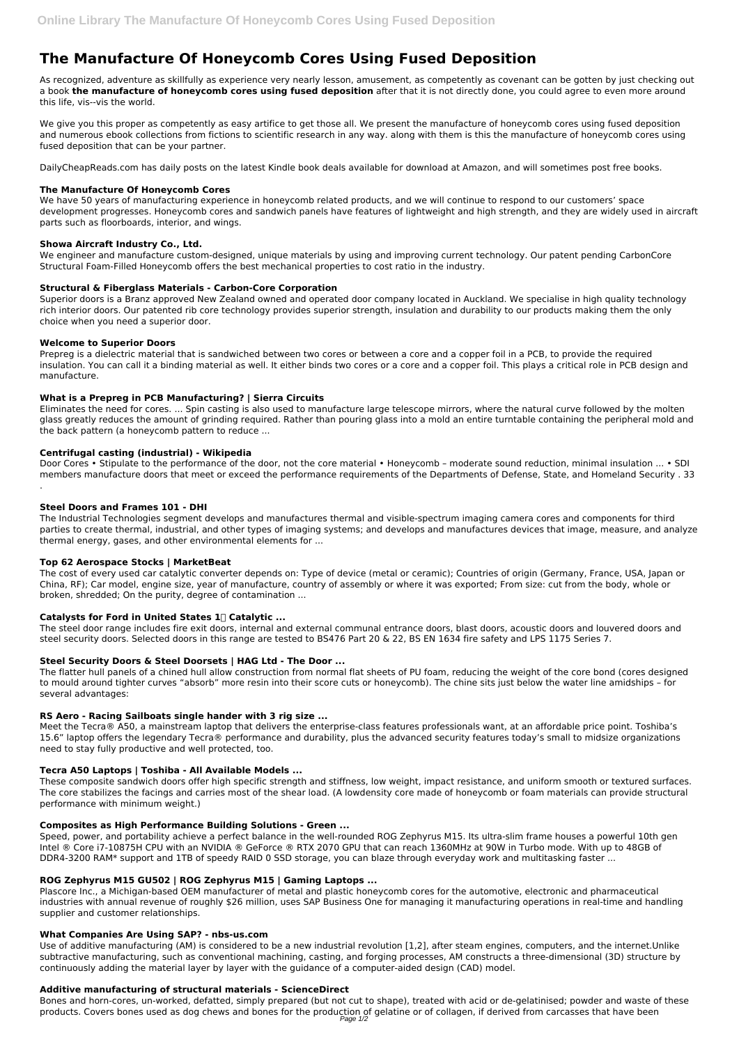# **The Manufacture Of Honeycomb Cores Using Fused Deposition**

As recognized, adventure as skillfully as experience very nearly lesson, amusement, as competently as covenant can be gotten by just checking out a book **the manufacture of honeycomb cores using fused deposition** after that it is not directly done, you could agree to even more around this life, vis--vis the world.

We give you this proper as competently as easy artifice to get those all. We present the manufacture of honeycomb cores using fused deposition and numerous ebook collections from fictions to scientific research in any way. along with them is this the manufacture of honeycomb cores using fused deposition that can be your partner.

DailyCheapReads.com has daily posts on the latest Kindle book deals available for download at Amazon, and will sometimes post free books.

## **The Manufacture Of Honeycomb Cores**

We have 50 years of manufacturing experience in honeycomb related products, and we will continue to respond to our customers' space development progresses. Honeycomb cores and sandwich panels have features of lightweight and high strength, and they are widely used in aircraft parts such as floorboards, interior, and wings.

## **Showa Aircraft Industry Co., Ltd.**

We engineer and manufacture custom-designed, unique materials by using and improving current technology. Our patent pending CarbonCore Structural Foam-Filled Honeycomb offers the best mechanical properties to cost ratio in the industry.

Door Cores • Stipulate to the performance of the door, not the core material • Honeycomb – moderate sound reduction, minimal insulation ... • SDI members manufacture doors that meet or exceed the performance requirements of the Departments of Defense, State, and Homeland Security . 33 .

## **Structural & Fiberglass Materials - Carbon-Core Corporation**

Superior doors is a Branz approved New Zealand owned and operated door company located in Auckland. We specialise in high quality technology rich interior doors. Our patented rib core technology provides superior strength, insulation and durability to our products making them the only choice when you need a superior door.

## **Welcome to Superior Doors**

Prepreg is a dielectric material that is sandwiched between two cores or between a core and a copper foil in a PCB, to provide the required insulation. You can call it a binding material as well. It either binds two cores or a core and a copper foil. This plays a critical role in PCB design and manufacture.

### **What is a Prepreg in PCB Manufacturing? | Sierra Circuits**

Eliminates the need for cores. ... Spin casting is also used to manufacture large telescope mirrors, where the natural curve followed by the molten glass greatly reduces the amount of grinding required. Rather than pouring glass into a mold an entire turntable containing the peripheral mold and the back pattern (a honeycomb pattern to reduce ...

Speed, power, and portability achieve a perfect balance in the well-rounded ROG Zephyrus M15. Its ultra-slim frame houses a powerful 10th gen Intel ® Core i7-10875H CPU with an NVIDIA ® GeForce ® RTX 2070 GPU that can reach 1360MHz at 90W in Turbo mode. With up to 48GB of DDR4-3200 RAM\* support and 1TB of speedy RAID 0 SSD storage, you can blaze through everyday work and multitasking faster ...

## **Centrifugal casting (industrial) - Wikipedia**

#### **Steel Doors and Frames 101 - DHI**

The Industrial Technologies segment develops and manufactures thermal and visible-spectrum imaging camera cores and components for third parties to create thermal, industrial, and other types of imaging systems; and develops and manufactures devices that image, measure, and analyze thermal energy, gases, and other environmental elements for ...

Bones and horn-cores, un-worked, defatted, simply prepared (but not cut to shape), treated with acid or de-gelatinised; powder and waste of these products. Covers bones used as dog chews and bones for the production of gelatine or of collagen, if derived from carcasses that have been Page 1/2

#### **Top 62 Aerospace Stocks | MarketBeat**

The cost of every used car catalytic converter depends on: Type of device (metal or ceramic); Countries of origin (Germany, France, USA, Japan or China, RF); Car model, engine size, year of manufacture, country of assembly or where it was exported; From size: cut from the body, whole or broken, shredded; On the purity, degree of contamination ...

## **Catalysts for Ford in United States 1️⃣ Catalytic ...**

The steel door range includes fire exit doors, internal and external communal entrance doors, blast doors, acoustic doors and louvered doors and steel security doors. Selected doors in this range are tested to BS476 Part 20 & 22, BS EN 1634 fire safety and LPS 1175 Series 7.

## **Steel Security Doors & Steel Doorsets | HAG Ltd - The Door ...**

The flatter hull panels of a chined hull allow construction from normal flat sheets of PU foam, reducing the weight of the core bond (cores designed to mould around tighter curves "absorb" more resin into their score cuts or honeycomb). The chine sits just below the water line amidships – for several advantages:

#### **RS Aero - Racing Sailboats single hander with 3 rig size ...**

Meet the Tecra® A50, a mainstream laptop that delivers the enterprise-class features professionals want, at an affordable price point. Toshiba's 15.6" laptop offers the legendary Tecra® performance and durability, plus the advanced security features today's small to midsize organizations need to stay fully productive and well protected, too.

#### **Tecra A50 Laptops | Toshiba - All Available Models ...**

These composite sandwich doors offer high specific strength and stiffness, low weight, impact resistance, and uniform smooth or textured surfaces.

The core stabilizes the facings and carries most of the shear load. (A lowdensity core made of honeycomb or foam materials can provide structural performance with minimum weight.)

#### **Composites as High Performance Building Solutions - Green ...**

### **ROG Zephyrus M15 GU502 | ROG Zephyrus M15 | Gaming Laptops ...**

Plascore Inc., a Michigan-based OEM manufacturer of metal and plastic honeycomb cores for the automotive, electronic and pharmaceutical industries with annual revenue of roughly \$26 million, uses SAP Business One for managing it manufacturing operations in real-time and handling supplier and customer relationships.

#### **What Companies Are Using SAP? - nbs-us.com**

Use of additive manufacturing (AM) is considered to be a new industrial revolution [1,2], after steam engines, computers, and the internet.Unlike subtractive manufacturing, such as conventional machining, casting, and forging processes, AM constructs a three-dimensional (3D) structure by continuously adding the material layer by layer with the guidance of a computer-aided design (CAD) model.

#### **Additive manufacturing of structural materials - ScienceDirect**